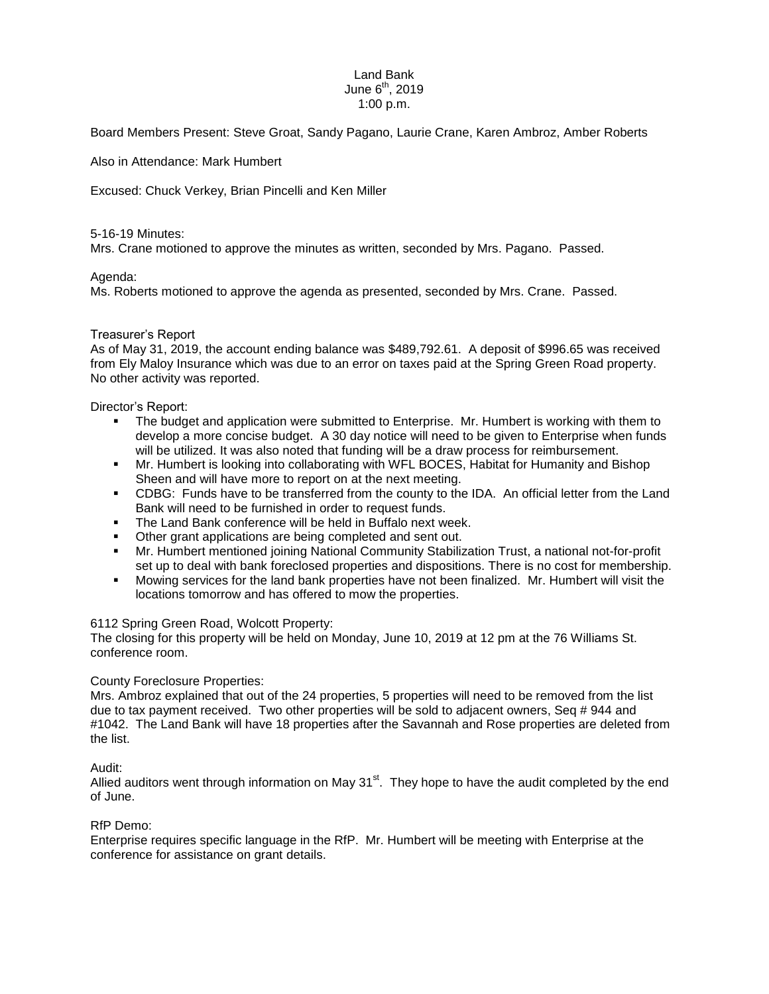#### Land Bank June  $6<sup>th</sup>$ , 2019 1:00 p.m.

Board Members Present: Steve Groat, Sandy Pagano, Laurie Crane, Karen Ambroz, Amber Roberts

Also in Attendance: Mark Humbert

Excused: Chuck Verkey, Brian Pincelli and Ken Miller

### 5-16-19 Minutes:

Mrs. Crane motioned to approve the minutes as written, seconded by Mrs. Pagano. Passed.

## Agenda:

Ms. Roberts motioned to approve the agenda as presented, seconded by Mrs. Crane. Passed.

## Treasurer's Report

As of May 31, 2019, the account ending balance was \$489,792.61. A deposit of \$996.65 was received from Ely Maloy Insurance which was due to an error on taxes paid at the Spring Green Road property. No other activity was reported.

Director's Report:

- The budget and application were submitted to Enterprise. Mr. Humbert is working with them to develop a more concise budget. A 30 day notice will need to be given to Enterprise when funds will be utilized. It was also noted that funding will be a draw process for reimbursement.
- Mr. Humbert is looking into collaborating with WFL BOCES, Habitat for Humanity and Bishop Sheen and will have more to report on at the next meeting.
- CDBG: Funds have to be transferred from the county to the IDA. An official letter from the Land Bank will need to be furnished in order to request funds.
- **The Land Bank conference will be held in Buffalo next week.**
- **Other grant applications are being completed and sent out.**
- Mr. Humbert mentioned joining National Community Stabilization Trust, a national not-for-profit set up to deal with bank foreclosed properties and dispositions. There is no cost for membership.
- Mowing services for the land bank properties have not been finalized. Mr. Humbert will visit the locations tomorrow and has offered to mow the properties.

# 6112 Spring Green Road, Wolcott Property:

The closing for this property will be held on Monday, June 10, 2019 at 12 pm at the 76 Williams St. conference room.

# County Foreclosure Properties:

Mrs. Ambroz explained that out of the 24 properties, 5 properties will need to be removed from the list due to tax payment received. Two other properties will be sold to adjacent owners, Seq # 944 and #1042. The Land Bank will have 18 properties after the Savannah and Rose properties are deleted from the list.

### Audit:

Allied auditors went through information on May  $31<sup>st</sup>$ . They hope to have the audit completed by the end of June.

### RfP Demo:

Enterprise requires specific language in the RfP. Mr. Humbert will be meeting with Enterprise at the conference for assistance on grant details.